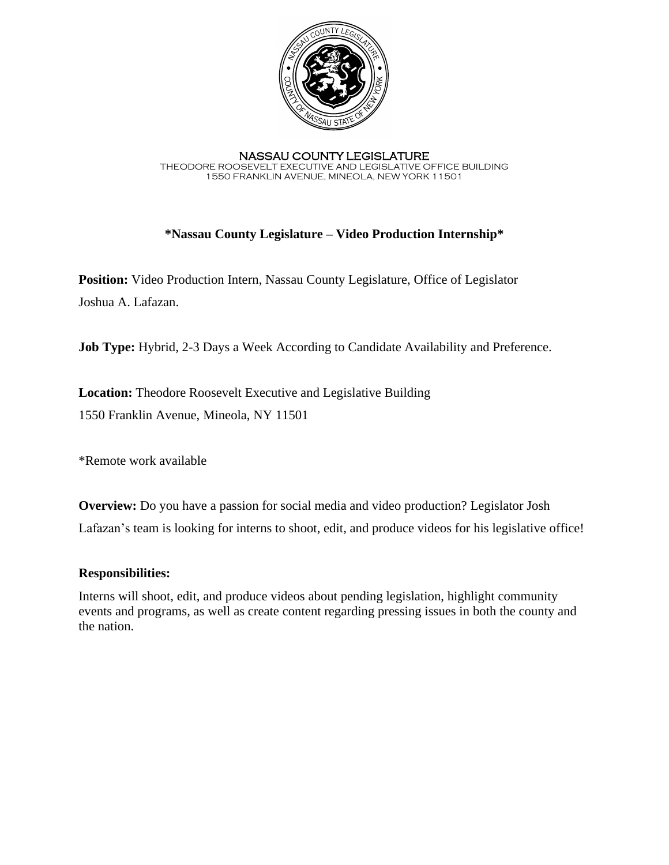

NASSAU COUNTY LEGISLATURE THEODORE ROOSEVELT EXECUTIVE AND LEGISLATIVE OFFICE BUILDING 1550 FRANKLIN AVENUE, MINEOLA, NEW YORK 11501

## **\*Nassau County Legislature – Video Production Internship\***

**Position:** Video Production Intern, Nassau County Legislature, Office of Legislator Joshua A. Lafazan.

**Job Type:** Hybrid, 2-3 Days a Week According to Candidate Availability and Preference.

**Location:** Theodore Roosevelt Executive and Legislative Building 1550 Franklin Avenue, Mineola, NY 11501

\*Remote work available

**Overview:** Do you have a passion for social media and video production? Legislator Josh Lafazan's team is looking for interns to shoot, edit, and produce videos for his legislative office!

#### **Responsibilities:**

Interns will shoot, edit, and produce videos about pending legislation, highlight community events and programs, as well as create content regarding pressing issues in both the county and the nation.